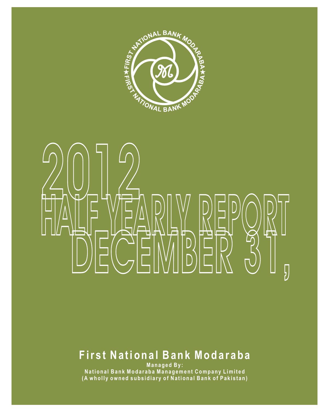

# HALF YEARLY REPUBLE **DECEMBER 31,** 2012 | 2012

## **F ir s t Na ti o n a l Ba n k Mo d a r a b a**

**Ma n a g e d By :**  National Bank Modaraba Management Company Limited (A wholly owned subsidiary of National Bank of Pakistan)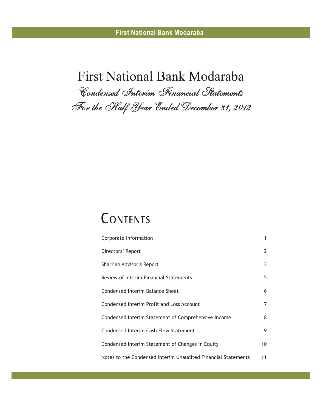# **First National Bank Modaraba** *Condensed Interim Financial Statements For the Half Year Ended December 31, 2012*

# **CONTENTS**

| Corporate Information                                         | 1  |
|---------------------------------------------------------------|----|
| Directors' Report                                             | 2  |
| Shari'ah Advisor's Report                                     | 3  |
| Review of Interim Financial Statements                        | 5. |
| Condensed Interim Balance Sheet                               | 6  |
| Condensed Interim Profit and Loss Account                     | 7  |
| Condensed Interim Statement of Comprehensive Income           | 8  |
| Condensed Interim Cash Flow Statement                         | 9  |
| Condensed Interim Statement of Changes in Equity              | 10 |
| Notes to the Condensed Interim Unaudited Financial Statements | 11 |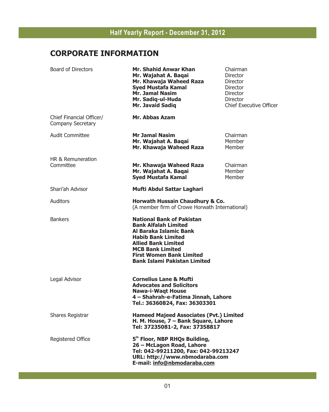## **CORPORATE INFORMATION**

| <b>Board of Directors</b>                            | <b>Mr. Shahid Anwar Khan</b><br>Mr. Wajahat A. Baqai<br>Mr. Khawaja Waheed Raza<br><b>Syed Mustafa Kamal</b><br><b>Mr. Jamal Nasim</b><br>Mr. Sadiq-ul-Huda<br><b>Mr. Javaid Sadig</b>                                                                    | Chairman<br>Director<br>Director<br>Director<br>Director<br><b>Director</b><br><b>Chief Executive Officer</b> |
|------------------------------------------------------|-----------------------------------------------------------------------------------------------------------------------------------------------------------------------------------------------------------------------------------------------------------|---------------------------------------------------------------------------------------------------------------|
| Chief Financial Officer/<br><b>Company Secretary</b> | Mr. Abbas Azam                                                                                                                                                                                                                                            |                                                                                                               |
| <b>Audit Committee</b>                               | <b>Mr Jamal Nasim</b><br>Mr. Wajahat A. Baqai<br>Mr. Khawaja Waheed Raza                                                                                                                                                                                  | Chairman<br>Member<br>Member                                                                                  |
| HR & Remuneration<br>Committee                       | Mr. Khawaja Waheed Raza<br>Mr. Wajahat A. Baqai<br><b>Syed Mustafa Kamal</b>                                                                                                                                                                              | Chairman<br>Member<br>Member                                                                                  |
| Shari'ah Advisor                                     | Mufti Abdul Sattar Laghari                                                                                                                                                                                                                                |                                                                                                               |
| Auditors                                             | Horwath Hussain Chaudhury & Co.<br>(A member firm of Crowe Horwath International)                                                                                                                                                                         |                                                                                                               |
| <b>Bankers</b>                                       | <b>National Bank of Pakistan</b><br><b>Bank Alfalah Limited</b><br>Al Baraka Islamic Bank<br><b>Habib Bank Limited</b><br><b>Allied Bank Limited</b><br><b>MCB Bank Limited</b><br><b>First Women Bank Limited</b><br><b>Bank Islami Pakistan Limited</b> |                                                                                                               |
| Legal Advisor                                        | <b>Cornelius Lane &amp; Mufti</b><br><b>Advocates and Solicitors</b><br><b>Nawa-i-Waqt House</b><br>4 - Shahrah-e-Fatima Jinnah, Lahore<br>Tel.: 36360824, Fax: 36303301                                                                                  |                                                                                                               |
| Shares Registrar                                     | <b>Hameed Majeed Associates (Pvt.) Limited</b><br>H. M. House, 7 - Bank Square, Lahore<br>Tel: 37235081-2, Fax: 37358817                                                                                                                                  |                                                                                                               |
| Registered Office                                    | 5 <sup>th</sup> Floor, NBP RHQs Building,<br>26 - McLagon Road, Lahore<br>Tel: 042-99211200, Fax: 042-99213247<br>URL: http://www.nbmodaraba.com<br>E-mail: info@nbmodaraba.com                                                                           |                                                                                                               |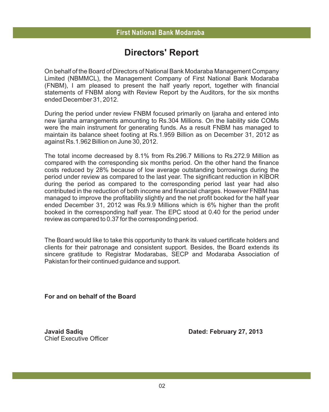## **Directors' Report**

On behalf of the Board of Directors of National Bank Modaraba Management Company Limited (NBMMCL), the Management Company of First National Bank Modaraba (FNBM), I am pleased to present the half yearly report, together with financial statements of FNBM along with Review Report by the Auditors, for the six months ended December 31, 2012.

During the period under review FNBM focused primarily on Ijaraha and entered into new Ijaraha arrangements amounting to Rs.304 Millions. On the liability side COMs were the main instrument for generating funds. As a result FNBM has managed to maintain its balance sheet footing at Rs.1.959 Billion as on December 31, 2012 as against Rs.1.962 Billion on June 30, 2012.

The total income decreased by 8.1% from Rs.296.7 Millions to Rs.272.9 Million as compared with the corresponding six months period. On the other hand the finance costs reduced by 28% because of low average outstanding borrowings during the period under review as compared to the last year. The significant reduction in KIBOR during the period as compared to the corresponding period last year had also contributed in the reduction of both income and financial charges. However FNBM has managed to improve the profitability slightly and the net profit booked for the half year ended December 31, 2012 was Rs.9.9 Millions which is 6% higher than the profit booked in the corresponding half year. The EPC stood at 0.40 for the period under review as compared to 0.37 for the corresponding period.

The Board would like to take this opportunity to thank its valued certificate holders and clients for their patronage and consistent support. Besides, the Board extends its sincere gratitude to Registrar Modarabas, SECP and Modaraba Association of Pakistan for their continued guidance and support.

**For and on behalf of the Board**

Chief Executive Officer

**Javaid Sadiq Dated: February 27, 2013**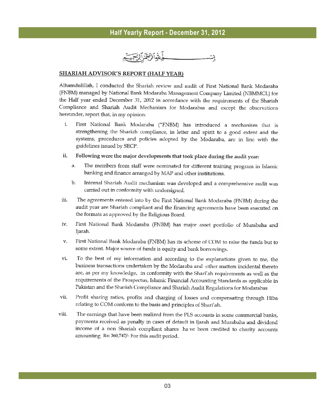#### **SHARIAH ADVISOR'S REPORT (HALF YEAR)**

Alhamdulillah, I conducted the Shariah review and audit of First National Bank Modaraba (FNBM) managed by National Bank Modaraba Management Company Limited (NBMMCL) for the Half year ended December 31, 2012 in accordance with the requirements of the Shariah Compliance and Shariah Audit Mechanism for Modarabas and except the observations hereunder, report that, in my opinion:

- i. First National Bank Modaraba ("FNBM) has introduced a mechanism that is strengthening the Shariah compliance, in letter and spirit to a good extent and the systems, procedures and policies adopted by the Modaraba, are in line with the guidelines issued by SECP.
- ii. Following were the major developments that took place during the audit year:
	- a. The members from staff were nominated for different training program in Islamic banking and finance arranged by MAP and other institutions.
	- Internal Shariah Audit mechanism was developed and a comprehensive audit was b. carried out in conformity with undersigned.
- iii. The agreements entered into by the First National Bank Modaraba (FNBM) during the audit year are Shariah compliant and the financing agreements have been executed on the formats as approved by the Religious Board.
- iv. First National Bank Modaraba (FNBM) has major asset portfolio of Murabaha and Ijarah.
- v. First National Bank Modaraba (FNBM) has its scheme of COM to raise the funds but to some extent. Major source of funds is equity and bank borrowings.
- vi. To the best of my information and according to the explanations given to me, the business transactions undertaken by the Modaraba and other matters incidental thereto are, as per my knowledge, in conformity with the Shari'ah requirements as well as the requirements of the Prospectus, Islamic Financial Accounting Standards as applicable in Pakistan and the Shariah Compliance and Shariah Audit Regulations for Modarabas
- vii. Profit sharing ratios, profits and charging of losses and compensating through Hiba relating to COM conform to the basis and principles of Shari'ah.
- The earnings that have been realized from the PLS accounts in some commercial banks, viii. payments received as penalty in cases of default in Ijarah and Murabaha and dividend income of a non Shariah compliant shares have been credited to charity accounts amounting Rs: 360,747/- For this audit period.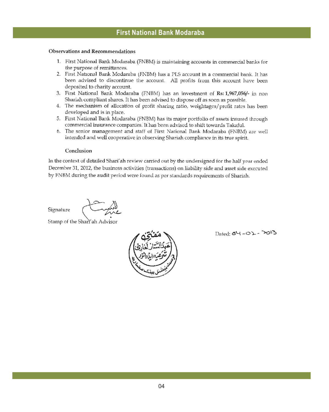## **Observations and Recommendations**

- 1. First National Bank Modaraba (FNBM) is maintaining accounts in commercial banks for the purpose of remittances.
- 2. First National Bank Modaraba (FNBM) has a PLS account in a commercial bank. It has been advised to discontinue the account. All profits from this account have been deposited to charity account.
- 3. First National Bank Modaraba (FNBM) has an investment of Rs: 1,967,056/- in non Shariah compliant shares. It has been advised to dispose off as soon as possible.
- 4. The mechanism of allocation of profit sharing ratio, weightages/profit rates has been developed and is in place.
- 5. First National Bank Modaraba (FNBM) has its major portfolio of assets insured through commercial insurance companies. It has been advised to shift towards Takaful.
- 6. The senior management and staff of First National Bank Modaraba (FNBM) are well intended and well cooperative in observing Shariah compliance in its true spirit.

### Conclusion

In the context of detailed Shari'ah review carried out by the undersigned for the half year ended December 31, 2012, the business activities (transactions) on liability side and asset side executed by FNBM during the audit period were found as per standards requirements of Shariah.

Signature

Stamp of the Sharranh Advisor



Dated: 54-01-2013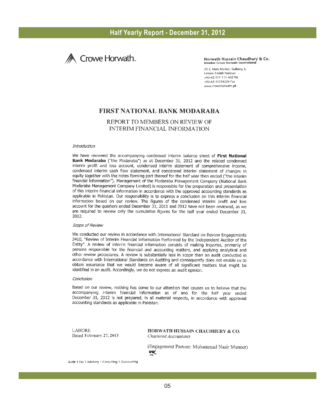

Horwath Hussain Chaudhury & Co. Member Crowe Horwath International

25-E, Main Market, Gulberg 2, Lahore-54660 Pakistan +92-42-111-111-442 Tel +92-42-35759226 Fax www.crowehorwath.pk

## **FIRST NATIONAL BANK MODARABA**

## REPORT TO MEMBERS ON REVIEW OF **INTERIM FINANCIAL INFORMATION**

#### **Introduction**

We have reviewed the accompanying condensed interim balance sheet of First National Bank Modaraba ("the Modaraba") as at December 31, 2012 and the related condensed interim profit and loss account, condensed interim statement of comprehensive income, condensed interim cash flow statement, and condensed interim statement of changes in equity together with the notes forming part thereof for the half year then ended ("the interim financial information"). Management of the Modaraba Management Company (National Bank Modaraba Management Company Limited) is responsible for the preparation and presentation of this interim financial information in accordance with the approved accounting standards as applicable in Pakistan. Our responsibility is to express a conclusion on this interim financial information based on our review. The figures of the condensed interim profit and loss account for the quarters ended December 31, 2011 and 2012 have not been reviewed, as we are required to review only the cumulative figures for the half year ended December 31, 2012.

#### Scope of Review

We conducted our review in accordance with International Standard on Review Engagements 2410, "Review of Interim Financial Information Performed by the Independent Auditor of the Entity". A review of interim financial information consists of making inquiries, primarily of persons responsible for the financial and accounting matters, and applying analytical and other review procedures. A review is substantially less in scope than an audit conducted in accordance with International Standards on Auditing and consequently does not enable us to obtain assurance that we would become aware of all significant matters that might be identified in an audit. Accordingly, we do not express an audit opinion.

#### Conclusion

Based on our review, nothing has come to our attention that causes us to believe that the accompanying interim financial information as of and for the half year ended December 31, 2012 is not prepared, in all material respects, in accordance with approved accounting standards as applicable in Pakistan.

**LAHORE** Dated February 27, 2013 HORWATH HUSSAIN CHAUDHURY & CO. Chartered Accountants

(Engagement Partner: Muhammad Nasir Muneer) **HK** 

Audit | Tax | Advisory | Consulting | Outsourcing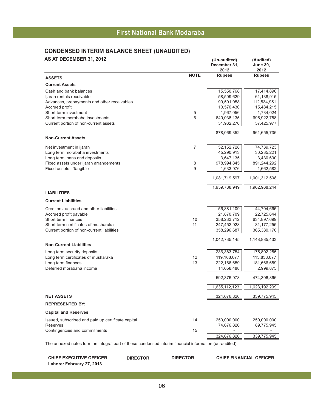## **CONDENSED INTERIM BALANCE SHEET (UNAUDITED)**

| AS AT DECEMBER 31, 2012                                                                                                                                                         |                          | (Un-audited)<br>December 31.<br>2012                                  | (Audited)<br><b>June 30,</b><br>2012                                   |
|---------------------------------------------------------------------------------------------------------------------------------------------------------------------------------|--------------------------|-----------------------------------------------------------------------|------------------------------------------------------------------------|
| <b>ASSETS</b>                                                                                                                                                                   | <b>NOTE</b>              | <b>Rupees</b>                                                         | <b>Rupees</b>                                                          |
| <b>Current Assets</b>                                                                                                                                                           |                          |                                                                       |                                                                        |
| Cash and bank balances<br>ljarah rentals receivable<br>Advances, prepayments and other receivables<br>Accrued profit                                                            |                          | 15,550,768<br>58,509,629<br>99,501,058<br>10,570,430                  | 17,414,896<br>61,138,915<br>112,534,951<br>15,484,215                  |
| Short term investment<br>Short term morabaha investments<br>Current portion of non-current assets                                                                               | 5<br>6                   | 1,967,056<br>640,038,135<br>51,932,276                                | 1,734,024<br>695,922,758<br>57,425,977                                 |
| <b>Non-Current Assets</b>                                                                                                                                                       |                          | 878,069,352                                                           | 961,655,736                                                            |
| Net investment in ijarah<br>Long term morabaha investments<br>Long term loans and deposits<br>Fixed assets under ijarah arrangements<br>Fixed assets - Tangible                 | $\overline{7}$<br>8<br>9 | 52, 152, 728<br>45,290,913<br>3,647,135<br>978,994,845<br>1,633,976   | 74,739,723<br>30,235,221<br>3,430,690<br>891,244,292<br>1,662,582      |
|                                                                                                                                                                                 |                          | 1,081,719,597                                                         | 1,001,312,508                                                          |
|                                                                                                                                                                                 |                          | 1,959,788,949                                                         | 1,962,968,244                                                          |
| <b>LIABILITIES</b>                                                                                                                                                              |                          |                                                                       |                                                                        |
| <b>Current Liabilities</b>                                                                                                                                                      |                          |                                                                       |                                                                        |
| Creditors, accrued and other liabilities<br>Accrued profit payable<br>Short term finances<br>Short term certificates of musharaka<br>Current portion of non-current liabilities | 10<br>11                 | 56,881,109<br>21,870,709<br>358,233,712<br>247,452,928<br>358,296,687 | 44,704,665<br>22,725,644<br>634,897,699<br>81, 177, 255<br>365,380,170 |
| <b>Non-Current Liabilities</b>                                                                                                                                                  |                          | 1,042,735,145                                                         | 1,148,885,433                                                          |
| Long term security deposits<br>Long term certificates of musharaka<br>Long term finances<br>Deferred morabaha income                                                            | 12<br>13                 | 236, 383, 754<br>119,168,077<br>222,166,659<br>14,658,488             | 175,802,255<br>113,838,077<br>181,666,659<br>2,999,875                 |
|                                                                                                                                                                                 |                          | 592,376,978                                                           | 474,306,866                                                            |
|                                                                                                                                                                                 |                          | 1,635,112,123                                                         | 1,623,192,299                                                          |
| <b>NET ASSETS</b>                                                                                                                                                               |                          | 324,676,826                                                           | 339,775,945                                                            |
| <b>REPRESENTED BY:</b>                                                                                                                                                          |                          |                                                                       |                                                                        |
| <b>Capital and Reserves</b>                                                                                                                                                     |                          |                                                                       |                                                                        |
| Issued, subscribed and paid up certificate capital<br><b>Reserves</b><br>Contingencies and commitments                                                                          | 14<br>15                 | 250,000,000<br>74,676,826                                             | 250,000,000<br>89,775,945                                              |
|                                                                                                                                                                                 |                          | 324,676,826                                                           | 339,775,945                                                            |

The annexed notes form an integral part of these condensed interim financial information (un-audited).

**CHIEF EXECUTIVE OFFICER DIRECTOR DIRECTOR CHIEF FINANCIAL OFFICER Lahore: February 27, 2013**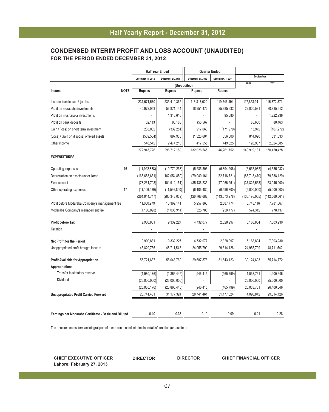## **CONDENSED INTERIM PROFIT AND LOSS ACCOUNT (UNAUDITED) FOR THE PERIOD ENDED DECEMBER 31, 2012**

|                                                       | <b>Half Year Ended</b>                 |                 | Quarter Ended     |                   |                 |                 |
|-------------------------------------------------------|----------------------------------------|-----------------|-------------------|-------------------|-----------------|-----------------|
|                                                       | December 31, 2012<br>December 31, 2011 |                 | December 31, 2012 | December 31, 2011 |                 | September       |
|                                                       |                                        | (Un-audited)    |                   |                   | 2012            | 2011            |
| <b>NOTE</b><br>Income                                 | <b>Rupees</b>                          | <b>Rupees</b>   | <b>Rupees</b>     | <b>Rupees</b>     |                 |                 |
| Income from leases / ijarahs                          | 231,671,570                            | 235,419,365     | 113,817,629       | 119,546,494       | 117,853,941     | 115,872,871     |
| Profit on morabaha investments                        | 40,972,053                             | 56,871,144      | 18,951,472        | 25,985,632        | 22,020,581      | 30,885,512      |
| Profit on musharaka investments                       |                                        | 1,318,616       |                   | 95,680            |                 | 1,222,936       |
| Profit on bank deposits                               | 32,113                                 | 80,163          | (53, 567)         |                   | 85,680          | 80,163          |
| Gain / (loss) on short term investment                | 233.032                                | (339, 251)      | 217,060           | (171, 979)        | 15.972          | (167, 272)      |
| (Loss) / Gain on disposal of fixed assets             | (509, 584)                             | 887,933         | (1,323,604)       | 356,600           | 814,020         | 531,333         |
| Other income                                          | 546,542                                | 2,474,210       | 417,555           | 449,325           | 128,987         | 2,024,885       |
|                                                       | 272,945,726                            | 296,712,180     | 132,026,545       | 146,261,752       | 140,919,181     | 150,450,428     |
| <b>EXPENDITURES</b>                                   |                                        |                 |                   |                   |                 |                 |
| 16<br>Operating expenses                              | (11, 922, 838)                         | (10, 779, 238)  | (5, 285, 806)     | (6, 394, 206)     | (6,637,032)     | (4, 385, 032)   |
| Depreciation on assets under ijarah                   | (165, 653, 631)                        | (162, 054, 850) | (79, 940, 161)    | (82,716,721)      | (85,713,470)    | (79, 338, 129)  |
| Finance cost                                          | (73, 261, 798)                         | (101, 912, 151) | (35, 436, 235)    | (47, 966, 251)    | (37, 825, 563)  | (53,945,900)    |
| 17<br>Other operating expenses                        | (11, 106, 480)                         | (11, 596, 800)  | (6, 106, 480)     | (6,596,800)       | (5,000,000)     | (5,000,000)     |
|                                                       | (261, 944, 747)                        | (286, 343, 039) | (126, 768, 682)   | (143, 673, 978)   | (135, 176, 065) | (142, 669, 061) |
| Profit before Modaraba Company's management fee       | 11,000,979                             | 10,369,141      | 5,257,863         | 2,587,774         | 5,743,116       | 7,781,367       |
| Modaraba Company's management fee                     | (1,100,098)                            | (1,036,914)     | (525, 786)        | (258, 777)        | 574,312         | 778,137         |
| <b>Profit before Tax</b>                              | 9,900,881                              | 9,332,227       | 4,732,077         | 2,328,997         | 5,168,804       | 7,003,230       |
| Taxation                                              |                                        |                 |                   |                   |                 |                 |
| <b>Net Profit for the Period</b>                      | 9,900,881                              | 9,332,227       | 4,732,077         | 2,328,997         | 5,168,804       | 7,003,230       |
| Unappropriated profit brought forward                 | 45,820,756                             | 48,711,542      | 24,955,799        | 29,314,126        | 24,955,799      | 48,711,542      |
| <b>Profit Available for Appropriation</b>             | 55,721,637                             | 58,043,769      | 29,687,876        | 31,643,123        | 30,124,603      | 55,714,772      |
| Appropriation:                                        |                                        |                 |                   |                   |                 |                 |
| Transfer to statutory reserve                         | (1,980,176)                            | (1,866,445)     | (946, 415)        | (465, 799)        | 1,033,761       | 1,400,646       |
| Dividend                                              | (25,000,000)                           | (25,000,000)    |                   |                   | 25,000,000      | 25,000,000      |
|                                                       | (26,980,176)                           | (26, 866, 445)  | (946, 415)        | (465, 799)        | 26,033,761      | 26,400,646      |
| <b>Unappropriated Profit Carried Forward</b>          | 28,741,461                             | 31,177,324      | 28,741,461        | 31, 177, 324      | 4,090,842       | 29,314,126      |
|                                                       |                                        |                 |                   |                   |                 |                 |
| Earnings per Modaraba Certificate - Basic and Diluted | 0.40                                   | 0.37            | 0.19              | 0.09              | 0.21            | 0.28            |

The annexed notes form an integral part of these condensed interim financial information (un-audited).

**CHIEF EXECUTIVE OFFICER DIRECTOR DIRECTOR CHIEF FINANCIAL OFFICER Lahore: February 27, 2013**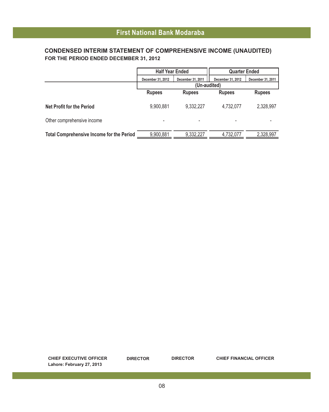## **CONDENSED INTERIM STATEMENT OF COMPREHENSIVE INCOME (UNAUDITED) FOR THE PERIOD ENDED DECEMBER 31, 2012**

|                                                  | <b>Half Year Ended</b> |                   | <b>Quarter Ended</b> |                   |
|--------------------------------------------------|------------------------|-------------------|----------------------|-------------------|
|                                                  | December 31, 2012      | December 31, 2011 | December 31, 2012    | December 31, 2011 |
|                                                  | (Un-audited)           |                   |                      |                   |
|                                                  | <b>Rupees</b>          | <b>Rupees</b>     | <b>Rupees</b>        | <b>Rupees</b>     |
| Net Profit for the Period                        | 9,900,881              | 9.332.227         | 4,732,077            | 2,328,997         |
| Other comprehensive income                       |                        |                   |                      |                   |
| <b>Total Comprehensive Income for the Period</b> | 9,900,881              | 9.332.227         | 4,732,077            | 2.328.997         |

**CHIEF EXECUTIVE OFFICER DIRECTOR DIRECTOR CHIEF FINANCIAL OFFICER Lahore: February 27, 2013**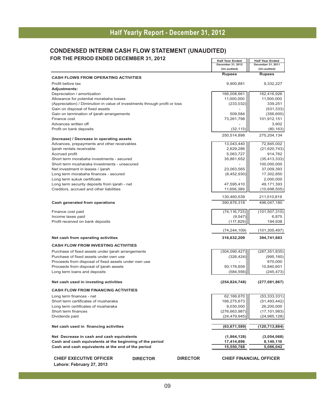### **CONDENSED INTERIM CASH FLOW STATEMENT (UNAUDITED) FOR THE PERIOD ENDED DECEMBER 31, 2012**

|                                                                            |                 |                 | <b>Half Year Ended</b>            | <b>Half Year Ended</b>            |
|----------------------------------------------------------------------------|-----------------|-----------------|-----------------------------------|-----------------------------------|
|                                                                            |                 |                 | December 31, 2012<br>(Un-audited) | December 31, 2011<br>(Un-audited) |
|                                                                            |                 |                 | <b>Rupees</b>                     | <b>Rupees</b>                     |
| <b>CASH FLOWS FROM OPERATING ACTIVITIES</b>                                |                 |                 |                                   |                                   |
| Profit before tax                                                          |                 |                 | 9,900,881                         | 9,332,227                         |
| <b>Adjustments:</b>                                                        |                 |                 |                                   |                                   |
| Depreciation / amortization                                                |                 |                 | 166,008,661                       | 162,416,926                       |
| Allowance for potential morabaha losses                                    |                 |                 | 11,000,000                        | 11,500,000                        |
| (Appreciation) / Diminution in value of investments through profit or loss |                 |                 | (233, 032)                        | 339,251                           |
| Gain on disposal of fixed assets                                           |                 |                 |                                   | (531, 333)                        |
| Gain on termination of ijarah arrangements                                 |                 |                 | 509,584                           | (356, 600)                        |
| Finance cost                                                               |                 |                 | 73,261,798                        | 101,912,151                       |
| Advances written off                                                       |                 |                 |                                   | 3,902                             |
| Profit on bank deposits                                                    |                 |                 | (32, 113)                         | (80, 163)                         |
|                                                                            |                 |                 | 250,514,898                       | 275,204,134                       |
| (Increase) / Decrease in operating assets                                  |                 |                 |                                   |                                   |
| Advances, prepayments and other receivables                                |                 |                 | 13,043,440                        | 72,845,002                        |
| ljarah rentals receivable                                                  |                 |                 | 2,629,286                         | (21,620,743)                      |
| Accrued profit                                                             |                 |                 | 5,063,727                         | 914,762                           |
| Short term morabaha investments - secured                                  |                 |                 | 35,861,652                        | (35, 413, 333)                    |
| Short term musharaka investments - unsecured                               |                 |                 |                                   | 100,000,000                       |
| Net investment in leases / ijarah                                          |                 |                 | 23,063,565                        | 37,009,393                        |
| Long term morabaha finances - secured                                      |                 |                 | (8,452,930)                       | 17,302,850                        |
| Long term sukuk certificate                                                |                 |                 |                                   | 2,000,000                         |
| Long term security deposits from ijarah - net                              |                 |                 | 47,595,410                        | 49,171,393                        |
| Creditors, accrued and other liabilities                                   |                 |                 | 11,656,389                        | (10,698,505)                      |
|                                                                            |                 |                 | 130,460,539                       | 211,510,819                       |
| <b>Cash generated from operations</b>                                      |                 |                 | 390,876,318                       | 496,047,180                       |
| Finance cost paid                                                          |                 |                 | (74, 116, 733)                    | (101, 507, 310)                   |
| Income taxes paid                                                          |                 |                 | (9, 547)                          | 6,875                             |
| Profit received on bank deposits                                           |                 |                 | (117, 829)                        | 194,938                           |
|                                                                            |                 |                 | (74, 244, 109)                    | (101, 305, 497)                   |
| Net cash from operating activities                                         |                 |                 | 316,632,209                       | 394,741,683                       |
| <b>CASH FLOW FROM INVESTING ACTIVITIES</b>                                 |                 |                 |                                   |                                   |
| Purchase of fixed assets under ijarah arrangements                         |                 |                 | (304,090,427)                     | (287, 351, 835)                   |
| Purchase of fixed assets under own use                                     |                 |                 | (326, 424)                        | (995, 160)                        |
| Proceeds from disposal of fixed assets under own use                       |                 |                 |                                   | 670,000                           |
| Proceeds from disposal of ijarah assets                                    |                 |                 | 50,176,659                        | 10,840,601                        |
| Long term loans and deposits                                               |                 |                 | (584, 556)                        | (245, 473)                        |
|                                                                            |                 |                 |                                   |                                   |
| Net cash used in investing activities                                      |                 |                 | (254, 824, 748)                   | (277,081,867)                     |
| <b>CASH FLOW FROM FINANCING ACTIVITIES</b>                                 |                 |                 |                                   |                                   |
| Long term finances - net                                                   |                 |                 | 62,166,670                        | (53, 333, 331)                    |
| Short term certificates of musharaka                                       |                 |                 | 166,275,673                       | (51, 493, 442)                    |
| Long term certificates of musharaka                                        |                 |                 | 9,030,000                         | 26,200,000                        |
| Short term finances                                                        |                 |                 | (276, 663, 987)                   | (17, 101, 983)                    |
| Dividends paid                                                             |                 |                 | (24, 479, 945)                    | (24, 985, 128)                    |
|                                                                            |                 |                 |                                   |                                   |
| Net cash used in financing activities                                      |                 |                 | (63, 671, 589)                    | (120,713,884)                     |
| Net Decrease in cash and cash equivalents                                  |                 |                 | (1,864,128)                       | (3,054,068)                       |
| Cash and cash equivalents at the beginning of the period                   |                 |                 | 17,414,896                        | 8,140,110                         |
| Cash and cash equivalents at the end of the period                         |                 |                 | 15,550,768                        | 5,086,042                         |
|                                                                            |                 |                 |                                   |                                   |
| <b>CHIEF EXECUTIVE OFFICER</b>                                             | <b>DIRECTOR</b> | <b>DIRECTOR</b> |                                   | <b>CHIEF FINANCIAL OFFICER</b>    |

**Lahore: February 27, 2013**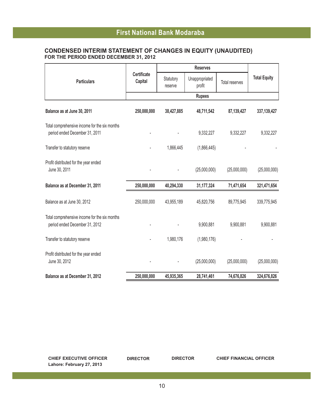## **FFiirrsst t NNaattiioonnaal l BBaannk k MMooddaarraabbaa First National Bank Modaraba**

### **CONDENSED INTERIM STATEMENT OF CHANGES IN EQUITY (UNAUDITED) FOR THE PERIOD ENDED DECEMBER 31, 2012**

| <b>Particulars</b>                                                              | <b>Certificate</b><br>Capital | Statutory<br>reserve | Unappropriated<br>profit | Total reserves | <b>Total Equity</b> |
|---------------------------------------------------------------------------------|-------------------------------|----------------------|--------------------------|----------------|---------------------|
|                                                                                 |                               |                      | <b>Rupees</b>            |                |                     |
| Balance as at June 30, 2011                                                     | 250,000,000                   | 38,427,885           | 48,711,542               | 87,139,427     | 337,139,427         |
| Total comprehensive income for the six months<br>period ended December 31, 2011 |                               |                      | 9,332,227                | 9,332,227      | 9,332,227           |
| Transfer to statutory reserve                                                   |                               | 1,866,445            | (1,866,445)              |                |                     |
| Profit distributed for the year ended<br>June 30, 2011                          |                               |                      | (25,000,000)             | (25,000,000)   | (25,000,000)        |
| Balance as at December 31, 2011                                                 | 250,000,000                   | 40,294,330           | 31,177,324               | 71,471,654     | 321,471,654         |
| Balance as at June 30, 2012                                                     | 250,000,000                   | 43,955,189           | 45,820,756               | 89,775,945     | 339,775,945         |
| Total comprehensive income for the six months<br>period ended December 31, 2012 |                               |                      | 9,900,881                | 9,900,881      | 9,900,881           |
| Transfer to statutory reserve                                                   |                               | 1,980,176            | (1,980,176)              |                |                     |
| Profit distributed for the year ended<br>June 30, 2012                          |                               |                      | (25,000,000)             | (25,000,000)   | (25,000,000)        |
| Balance as at December 31, 2012                                                 | 250,000,000                   | 45,935,365           | 28,741,461               | 74,676,826     | 324,676,826         |

| <b>CHIEF EXECUTIVE OFFICER</b> | <b>DIRECTOR</b> |
|--------------------------------|-----------------|
| Lahore: February 27, 2013      |                 |

**CHIEF EXECUTIVE OFFICER DIRECTOR DIRECTOR CHIEF FINANCIAL OFFICER**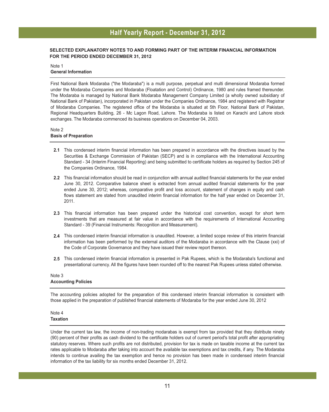#### **SELECTED EXPLANATORY NOTES TO AND FORMING PART OF THE INTERIM FINANCIAL INFORMATION FOR THE PERIOD ENDED DECEMBER 31, 2012**

#### Note 1 **General Information**

First National Bank Modaraba ("the Modaraba") is a multi purpose, perpetual and multi dimensional Modaraba formed under the Modaraba Companies and Modaraba (Floatation and Control) Ordinance, 1980 and rules framed thereunder. The Modaraba is managed by National Bank Modaraba Management Company Limited (a wholly owned subsidiary of National Bank of Pakistan), incorporated in Pakistan under the Companies Ordinance, 1984 and registered with Registrar of Modaraba Companies. The registered office of the Modaraba is situated at 5th Floor, National Bank of Pakistan, Regional Headquarters Building, 26 - Mc Lagon Road, Lahore. The Modaraba is listed on Karachi and Lahore stock exchanges. The Modaraba commenced its business operations on December 04, 2003.

#### Note 2 **Basis of Preparation**

- **2.1** This condensed interim financial information has been prepared in accordance with the directives issued by the Securities & Exchange Commission of Pakistan (SECP) and is in compliance with the International Accounting Standard - 34 (Interim Financial Reporting) and being submitted to certificate holders as required by Section 245 of the Companies Ordinance, 1984.
- **2.2** This financial information should be read in conjunction with annual audited financial statements for the year ended June 30, 2012. Comparative balance sheet is extracted from annual audited financial statements for the year ended June 30, 2012; whereas, comparative profit and loss account, statement of changes in equity and cash flows statement are stated from unaudited interim financial information for the half year ended on December 31, 2011.
- **2.3** This financial information has been prepared under the historical cost convention, except for short term investments that are measured at fair value in accordance with the requirements of International Accounting Standard - 39 (Financial Instruments: Recognition and Measurement).
- **2.4** This condensed interim financial information is unaudited. However, a limited scope review of this interim financial information has been performed by the external auditors of the Modaraba in accordance with the Clause (xxi) of the Code of Corporate Governance and they have issued their review report thereon.
- **2.5** This condensed interim financial information is presented in Pak Rupees, which is the Modaraba's functional and presentational currency. All the figures have been rounded off to the nearest Pak Rupees unless stated otherwise.

#### Note 3 **Accounting Policies**

The accounting policies adopted for the preparation of this condensed interim financial information is consistent with those applied in the preparation of published financial statements of Modaraba for the year ended June 30, 2012

#### Note 4 **Taxation**

Under the current tax law, the income of non-trading modarabas is exempt from tax provided that they distribute ninety (90) percent of their profits as cash dividend to the certificate holders out of current period's total profit after appropriating statutory reserves. Where such profits are not distributed, provision for tax is made on taxable income at the current tax rates applicable to Modaraba after taking into account the available tax exemptions and tax credits, if any. The Modaraba intends to continue availing the tax exemption and hence no provision has been made in condensed interim financial information of the tax liability for six months ended December 31, 2012.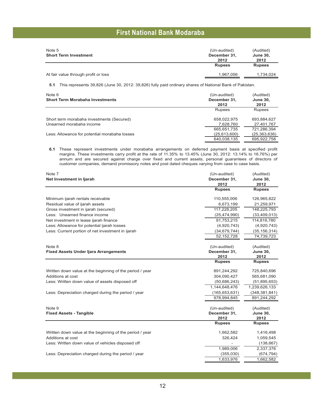| Note 5<br><b>Short Term Investment</b> | (Un-audited)<br>December 31. | (Audited)<br><b>June 30.</b> |
|----------------------------------------|------------------------------|------------------------------|
|                                        | 2012<br><b>Rupees</b>        | 2012<br><b>Rupees</b>        |
| At fair value through profit or loss   | 1.967.056                    | 1.734.024                    |

**5.1** This represents 39,826 (June 30, 2012: 39,826) fully paid ordinary shares of National Bank of Pakistan.

| Note 6<br><b>Short Term Morabaha Investments</b> | (Un-audited)<br>December 31.<br>2012 | (Audited)<br>June 30,<br>2012 |
|--------------------------------------------------|--------------------------------------|-------------------------------|
|                                                  | Rupees                               | <b>Rupees</b>                 |
| Short term morabaha investments (Secured)        | 658.022.975                          | 693.884.627                   |
| Unearned morabaha income                         | 7.628.760                            | 27.401.767                    |
|                                                  | 665,651,735                          | 721,286,394                   |
| Less: Allowance for potential morabaha losses    | (25, 613, 600)                       | (25, 363, 636)                |
|                                                  | 640.038.135                          | 695.922.758                   |

**6.1** These represent investments under morabaha arrangements on deferred payment basis at specified profit margins. These investments carry profit at the rate of 11.35% to 13.45% (June 30, 2012: 13.14% to 16.76%) per annum and are secured against charge over fixed and current assets, personal guarantees of directors of customer companies, demand promissory notes and post dated cheques varying from case to case basis.

| Note 7                                                   | (Un-audited)    | (Audited)       |
|----------------------------------------------------------|-----------------|-----------------|
| Net Investment in Ijarah                                 | December 31,    | <b>June 30,</b> |
|                                                          | 2012            | 2012            |
|                                                          | <b>Rupees</b>   | <b>Rupees</b>   |
| Minimum ijarah rentals receivable                        | 110,555,006     | 126,965,822     |
| Residual value of ijarah assets                          | 6,673,199       | 21,259,971      |
| Gross investment in ijarah (secured)                     | 117.228.205     | 148,225,793     |
| Less: Unearned finance income                            | (25, 474, 990)  | (33, 409, 013)  |
| Net investment in lease ijarah finance                   | 91,753,215      | 114,816,780     |
| Less: Allowance for potential ijarah losses              | (4,920,743)     | (4,920,743)     |
| Less: Current portion of net investment in ijarah        | (34, 679, 744)  | (35, 156, 314)  |
|                                                          | 52,152,728      | 74,739,723      |
| Note 8                                                   | (Un-audited)    | (Audited)       |
| <b>Fixed Assets Under Ijara Arrangements</b>             | December 31,    | <b>June 30,</b> |
|                                                          | 2012            | 2012            |
|                                                          | <b>Rupees</b>   | <b>Rupees</b>   |
| Written down value at the beginning of the period / year | 891,244,292     | 725,840,696     |
| Additions at cost                                        | 304,090,427     | 565,681,090     |
| Less: Written down value of assets disposed off          | (50, 686, 243)  | (51, 895, 653)  |
|                                                          | 1,144,648,476   | 1,239,626,133   |
| Less: Depreciation charged during the period / year      | (165, 653, 631) | (348, 381, 841) |
|                                                          | 978.994.845     | 891,244,292     |
| Note 9                                                   | (Un-audited)    | (Audited)       |
| <b>Fixed Assets - Tangible</b>                           | December 31,    | <b>June 30,</b> |
|                                                          | 2012            | 2012            |
|                                                          | <b>Rupees</b>   | <b>Rupees</b>   |
| Written down value at the beginning of the period / year | 1,662,582       | 1,416,498       |
| Additions at cost                                        | 326,424         | 1,059,545       |
| Less: Written down value of vehicles disposed off        |                 | (138, 667)      |
|                                                          | 1,989,006       | 2,337,376       |
| Less: Depreciation charged during the period / year      | (355,030)       | (674, 794)      |
|                                                          | 1,633,976       | 1,662,582       |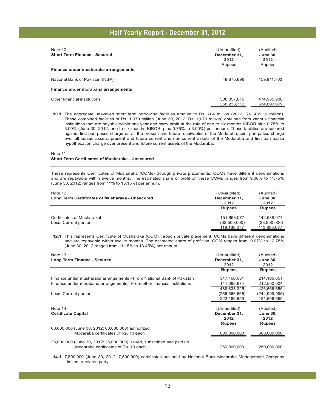| Note 10<br><b>Short Term Finance - Secured</b> | (Un-audited)<br>December 31.<br>2012 | (Audited)<br><b>June 30,</b><br>2012 |
|------------------------------------------------|--------------------------------------|--------------------------------------|
| Finance under musharaka arrangements           | Rupees                               | <b>Rupees</b>                        |
| National Bank of Pakistan (NBP)                | 49,875,896                           | 159,911,763                          |
| Finance under morabaha arrangements            |                                      |                                      |
| Other financial institutions                   | 308,357,816<br>358,233,712           | 474,985,936<br>634.897.699           |

**10.1** The aggregate unavailed short term borrowing facilities amount to Rs. 704 million (2012: Rs. 435.10 million). These combined facilities of Rs. 1,070 million (June 30, 2012: Rs. 1,070 million) obtained from various financial institutions that are payable within one year and carry profit at the rate of one to six months KIBOR plus 0.75% to 3.00% (June 30, 2012: one to six months KIBOR plus 0.75% to 3.00%) per annum. These facilities are secured against first pari passu charge on all the present and future receivables of the Modaraba; joint pari passu charge over all leased assets; present and future current and non-current assets of the Modaraba and first pari passu hypothecation charge over present and future current assets of the Modaraba.

#### Note 11 **Short Term Certificates of Musharaka - Unsecured**

These represents Certificates of Musharaka (COMs) through private placements. COMs have different denominations and are repayable within twelve months. The estimated share of profit on these COMs ranges from 9.00% to 11.75% (June 30, 2012: ranges from 11% to 13.15%) per annum.

| Note 12<br>Long Term Certificates of Musharaka - Unsecured | (Un-audited)<br>December 31.<br>2012 | (Audited)<br><b>June 30.</b><br>2012 |
|------------------------------------------------------------|--------------------------------------|--------------------------------------|
|                                                            | <b>Rupees</b>                        | <b>Rupees</b>                        |
| Certificates of Musharakah                                 | 151.668.077                          | 142.638.077                          |
| Less: Current portion                                      | (32,500,000)                         | (28,800,000)                         |
|                                                            | 119,168,077                          | 113,838,077                          |

**12.1** This represents Certificate of Musharaka (COM) through private placement. COMs have different denominations and are repayable within twelve months. The estimated share of profit on COM ranges from 9.07% to 12.75% (June 30, 2012 ranges from 11.15% to 13.45%) per annum.

| Note 13<br>Long Term Finance - Secured                                  | (Un-audited)<br>December 31,<br>2012 | (Audited)<br><b>June 30,</b><br>2012 |
|-------------------------------------------------------------------------|--------------------------------------|--------------------------------------|
|                                                                         | <b>Rupees</b>                        | <b>Rupees</b>                        |
| Finance under musharaka arrangements - From National Bank of Pakistan   | 347,166,651                          | 214,166,651                          |
| Finance under morabaha arrangements - From other financial institutions | 141.666.674                          | 212.500.004                          |
|                                                                         | 488.833.325                          | 426.666.655                          |
| Less: Current portion                                                   | (266,666,666)                        | (244,999,996)                        |
|                                                                         | 222,166,659                          | 181,666,659                          |
|                                                                         |                                      |                                      |
| Note 14                                                                 | (Un-audited)                         | (Audited)                            |
| <b>Certificate Capital</b>                                              | December 31,                         | <b>June 30,</b>                      |
|                                                                         | 2012                                 | 2012                                 |
|                                                                         | <b>Rupees</b>                        | <b>Rupees</b>                        |
| 60,000,000 (June 30, 2012: 60,000,000) authorized                       |                                      |                                      |
| Modaraba certificates of Rs. 10 each                                    | 600,000,000                          | 600,000,000                          |
|                                                                         |                                      |                                      |
| 25,000,000 (June 30, 2012: 25,000,000) issued, subscribed and paid up   |                                      |                                      |
| Modaraba certificates of Rs. 10 each                                    | 250,000,000                          | 250,000,000                          |

**14.1** 7,500,000 (June 30, 2012: 7,500,000) certificates are held by National Bank Modaraba Management Company Limited, a related party.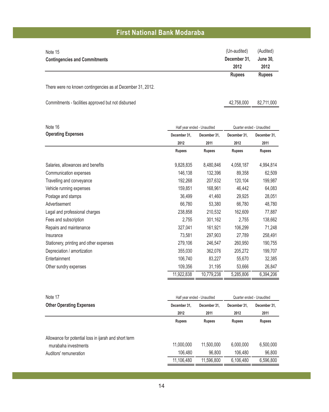| Note 15                                                    | (Un-audited)  | (Audited)               |
|------------------------------------------------------------|---------------|-------------------------|
| <b>Contingencies and Commitments</b>                       | December 31,  | <b>June 30,</b><br>2012 |
|                                                            | 2012          |                         |
|                                                            | <b>Rupees</b> | <b>Rupees</b>           |
| There were no known contingencies as at December 31, 2012. |               |                         |
| Commitments - facilities approved but not disbursed        | 42.758.000    | 82.711.000              |

| Note 16                                 |               | Half year ended - Unaudited |               | Quarter ended - Unaudited |  |
|-----------------------------------------|---------------|-----------------------------|---------------|---------------------------|--|
| <b>Operating Expenses</b>               | December 31,  | December 31,                | December 31,  | December 31,              |  |
|                                         | 2012          | 2011                        | 2012          | 2011                      |  |
|                                         | <b>Rupees</b> | <b>Rupees</b>               | <b>Rupees</b> | <b>Rupees</b>             |  |
| Salaries, allowances and benefits       | 9,828,835     | 8,480,846                   | 4,058,187     | 4,994,814                 |  |
| Communication expenses                  | 146,138       | 132,396                     | 89,358        | 62,509                    |  |
| Travelling and conveyance               | 192,268       | 207,632                     | 120,104       | 199,987                   |  |
| Vehicle running expenses                | 159,851       | 168,961                     | 46,442        | 64,083                    |  |
| Postage and stamps                      | 36,499        | 41,460                      | 29,925        | 28,051                    |  |
| Advertisement                           | 66,780        | 53,380                      | 66,780        | 48,780                    |  |
| Legal and professional charges          | 238,858       | 210,532                     | 162,609       | 77,887                    |  |
| Fees and subscription                   | 2,755         | 301,162                     | 2,755         | 138,662                   |  |
| Repairs and maintenance                 | 327,041       | 161,921                     | 106,299       | 71,248                    |  |
| Insurance                               | 73,581        | 297,903                     | 27,789        | 258,491                   |  |
| Stationery, printing and other expenses | 279,106       | 246,547                     | 260,950       | 190,755                   |  |
| Depreciation / amortization             | 355,030       | 362,076                     | 205,272       | 199,707                   |  |
| Entertainment                           | 106,740       | 83,227                      | 55,670        | 32,385                    |  |
| Other sundry expenses                   | 109,356       | 31,195                      | 53,666        | 26,847                    |  |
|                                         | 11,922,838    | 10,779,238                  | 5,285,806     | 6,394,206                 |  |

| Note 17                                               | Half year ended - Unaudited |               | Quarter ended - Unaudited |               |
|-------------------------------------------------------|-----------------------------|---------------|---------------------------|---------------|
| <b>Other Operating Expenses</b>                       | December 31.                | December 31.  | December 31.              | December 31,  |
|                                                       | 2012                        | 2011          | 2012                      | 2011          |
|                                                       | <b>Rupees</b>               | <b>Rupees</b> | <b>Rupees</b>             | <b>Rupees</b> |
| Allowance for potential loss in ijarah and short term |                             |               |                           |               |
| murabaha investments                                  | 11,000,000                  | 11,500,000    | 6,000,000                 | 6,500,000     |
| Auditors' remuneration                                | 106.480                     | 96,800        | 106.480                   | 96.800        |
|                                                       | 11,106,480                  | 11.596.800    | 6,106,480                 | 6.596.800     |
|                                                       |                             |               |                           |               |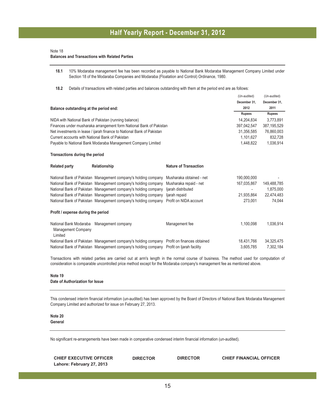#### Note 18

#### **Balances and Transactions with Related Parties**

**18.1** 10% Modaraba management fee has been recorded as payable to National Bank Modaraba Management Company Limited under Section 18 of the Modaraba Companies and Modaraba (Floatation and Control) Ordinance, 1980.

(Un-audited) (Un-audited)

**18.2** Details of transactions with related parties and balances outstanding with them at the period end are as follows:

|                                                                |                                                                                            |                              | (Ull-auditor) | $ U $ -auu $ U $ |  |
|----------------------------------------------------------------|--------------------------------------------------------------------------------------------|------------------------------|---------------|------------------|--|
|                                                                |                                                                                            |                              | December 31.  | December 31.     |  |
| Balance outstanding at the period end:                         |                                                                                            |                              | 2012          | 2011             |  |
|                                                                |                                                                                            |                              | <b>Rupees</b> | <b>Rupees</b>    |  |
|                                                                | NIDA with National Bank of Pakistan (running balance)                                      |                              | 14,204,834    | 3,773,891        |  |
|                                                                | Finances under musharaka arrangement form National Bank of Pakistan                        |                              | 397.042.547   | 387, 195, 529    |  |
|                                                                | Net investments in lease / ijarah finance to National Bank of Pakistan                     |                              | 31.356.585    | 76,860,003       |  |
| Current accounts with National Bank of Pakistan                |                                                                                            |                              | 1.101.627     | 832,728          |  |
|                                                                | Payable to National Bank Modaraba Management Company Limited                               |                              | 1,448,822     | 1,036,914        |  |
| Transactions during the period                                 |                                                                                            |                              |               |                  |  |
| <b>Related party</b>                                           | Relationship                                                                               | <b>Nature of Transaction</b> |               |                  |  |
|                                                                | National Bank of Pakistan Management company's holding company                             | Musharaka obtained - net     | 190,000,000   |                  |  |
|                                                                | National Bank of Pakistan Management company's holding company                             | Musharaka repaid - net       | 167,035,867   | 149,488,785      |  |
|                                                                | National Bank of Pakistan Management company's holding company                             | ljarah distributed           |               | 1,875,000        |  |
|                                                                | National Bank of Pakistan Management company's holding company                             | ljarah repaid                | 21,935,864    | 22,474,483       |  |
|                                                                | National Bank of Pakistan Management company's holding company                             | Profit on NIDA account       | 273.001       | 74.044           |  |
| Profit / expense during the period                             |                                                                                            |                              |               |                  |  |
| National Bank Modaraba<br><b>Management Company</b><br>Limited | Management company                                                                         | Management fee               | 1.100.098     | 1,036,914        |  |
|                                                                | National Bank of Pakistan Management company's holding company Profit on finances obtained |                              | 18.431.766    | 34,325,475       |  |
|                                                                | National Bank of Pakistan Management company's holding company Profit on Ijarah facility   |                              | 3,605,785     | 7,302,184        |  |

Transactions with related parties are carried out at arm's length in the normal course of business. The method used for computation of consideration is comparable uncontrolled price method except for the Modaraba company's management fee as mentioned above.

#### **Note 19 Date of Authorization for Issue**

This condensed interim financial information (un-audited) has been approved by the Board of Directors of National Bank Modaraba Management Company Limited and authorized for issue on February 27, 2013.

#### **Note 20 General**

No significant re-arrangements have been made in comparative condensed interim financial information (un-audited).

| <b>CHIEF EXECUTIVE OFFICER</b> | <b>DIRECTOR</b> | <b>DIRECTOR</b> | <b>CHIEF FINANCIAL OFFICER</b> |
|--------------------------------|-----------------|-----------------|--------------------------------|
| Lahore: February 27, 2013      |                 |                 |                                |